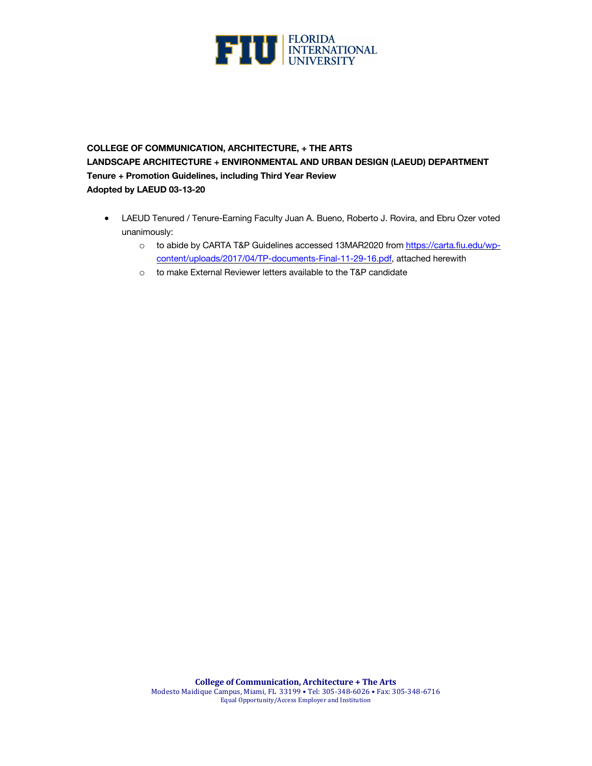

# **COLLEGE OF COMMUNICATION, ARCHITECTURE, + THE ARTS LANDSCAPE ARCHITECTURE + ENVIRONMENTAL AND URBAN DESIGN (LAEUD) DEPARTMENT Tenure + Promotion Guidelines, including Third Year Review Adopted by LAEUD 03-13-20**

- LAEUD Tenured / Tenure-Earning Faculty Juan A. Bueno, Roberto J. Rovira, and Ebru Ozer voted unanimously:
	- o to abide by CARTA T&P Guidelines accessed 13MAR2020 from https://carta.fiu.edu/wpcontent/uploads/2017/04/TP-documents-Final-11-29-16.pdf, attached herewith
	- o to make External Reviewer letters available to the T&P candidate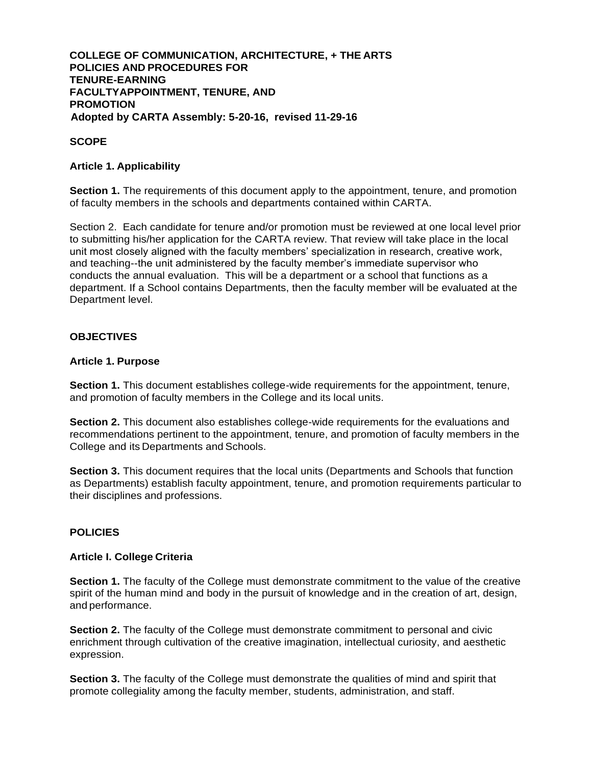## **COLLEGE OF COMMUNICATION, ARCHITECTURE, + THE ARTS POLICIES AND PROCEDURES FOR TENURE-EARNING FACULTYAPPOINTMENT, TENURE, AND PROMOTION Adopted by CARTA Assembly: 5-20-16, revised 11-29-16**

## **SCOPE**

## **Article 1. Applicability**

**Section 1.** The requirements of this document apply to the appointment, tenure, and promotion of faculty members in the schools and departments contained within CARTA.

Section 2. Each candidate for tenure and/or promotion must be reviewed at one local level prior to submitting his/her application for the CARTA review. That review will take place in the local unit most closely aligned with the faculty members' specialization in research, creative work, and teaching--the unit administered by the faculty member's immediate supervisor who conducts the annual evaluation. This will be a department or a school that functions as a department. If a School contains Departments, then the faculty member will be evaluated at the Department level.

## **OBJECTIVES**

#### **Article 1. Purpose**

**Section 1.** This document establishes college-wide requirements for the appointment, tenure, and promotion of faculty members in the College and its local units.

**Section 2.** This document also establishes college-wide requirements for the evaluations and recommendations pertinent to the appointment, tenure, and promotion of faculty members in the College and its Departments and Schools.

**Section 3.** This document requires that the local units (Departments and Schools that function as Departments) establish faculty appointment, tenure, and promotion requirements particular to their disciplines and professions.

## **POLICIES**

## **Article I. College Criteria**

**Section 1.** The faculty of the College must demonstrate commitment to the value of the creative spirit of the human mind and body in the pursuit of knowledge and in the creation of art, design, and performance.

**Section 2.** The faculty of the College must demonstrate commitment to personal and civic enrichment through cultivation of the creative imagination, intellectual curiosity, and aesthetic expression.

**Section 3.** The faculty of the College must demonstrate the qualities of mind and spirit that promote collegiality among the faculty member, students, administration, and staff.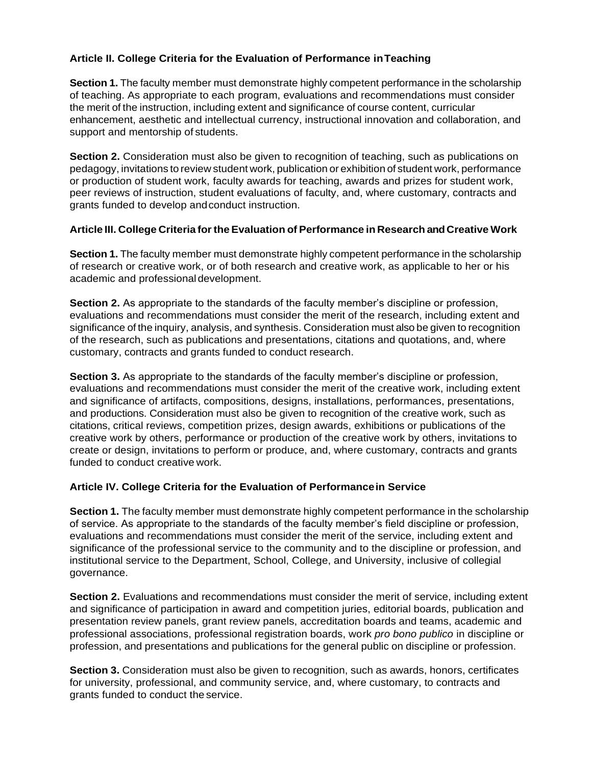# **Article II. College Criteria for the Evaluation of Performance inTeaching**

**Section 1.** The faculty member must demonstrate highly competent performance in the scholarship of teaching. As appropriate to each program, evaluations and recommendations must consider the merit of the instruction, including extent and significance of course content, curricular enhancement, aesthetic and intellectual currency, instructional innovation and collaboration, and support and mentorship of students.

**Section 2.** Consideration must also be given to recognition of teaching, such as publications on pedagogy, invitations to review student work, publication or exhibition of student work, performance or production of student work, faculty awards for teaching, awards and prizes for student work, peer reviews of instruction, student evaluations of faculty, and, where customary, contracts and grants funded to develop andconduct instruction.

## **Article III. College Criteria forthe Evaluation of Performance in Research andCreative Work**

**Section 1.** The faculty member must demonstrate highly competent performance in the scholarship of research or creative work, or of both research and creative work, as applicable to her or his academic and professionaldevelopment.

**Section 2.** As appropriate to the standards of the faculty member's discipline or profession, evaluations and recommendations must consider the merit of the research, including extent and significance of the inquiry, analysis, and synthesis. Consideration must also be given to recognition of the research, such as publications and presentations, citations and quotations, and, where customary, contracts and grants funded to conduct research.

**Section 3.** As appropriate to the standards of the faculty member's discipline or profession, evaluations and recommendations must consider the merit of the creative work, including extent and significance of artifacts, compositions, designs, installations, performances, presentations, and productions. Consideration must also be given to recognition of the creative work, such as citations, critical reviews, competition prizes, design awards, exhibitions or publications of the creative work by others, performance or production of the creative work by others, invitations to create or design, invitations to perform or produce, and, where customary, contracts and grants funded to conduct creative work.

## **Article IV. College Criteria for the Evaluation of Performancein Service**

**Section 1.** The faculty member must demonstrate highly competent performance in the scholarship of service. As appropriate to the standards of the faculty member's field discipline or profession, evaluations and recommendations must consider the merit of the service, including extent and significance of the professional service to the community and to the discipline or profession, and institutional service to the Department, School, College, and University, inclusive of collegial governance.

**Section 2.** Evaluations and recommendations must consider the merit of service, including extent and significance of participation in award and competition juries, editorial boards, publication and presentation review panels, grant review panels, accreditation boards and teams, academic and professional associations, professional registration boards, work *pro bono publico* in discipline or profession, and presentations and publications for the general public on discipline or profession.

**Section 3.** Consideration must also be given to recognition, such as awards, honors, certificates for university, professional, and community service, and, where customary, to contracts and grants funded to conduct the service.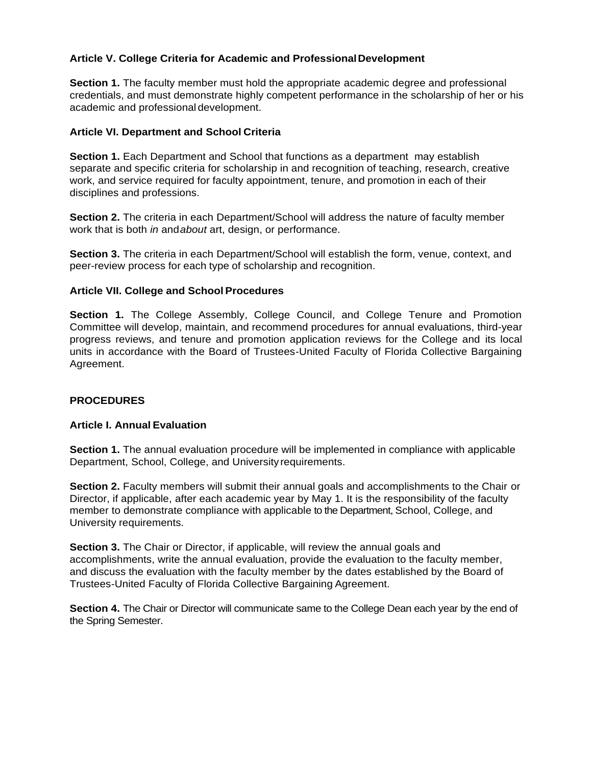## **Article V. College Criteria for Academic and ProfessionalDevelopment**

**Section 1.** The faculty member must hold the appropriate academic degree and professional credentials, and must demonstrate highly competent performance in the scholarship of her or his academic and professional development.

## **Article VI. Department and School Criteria**

**Section 1.** Each Department and School that functions as a department may establish separate and specific criteria for scholarship in and recognition of teaching, research, creative work, and service required for faculty appointment, tenure, and promotion in each of their disciplines and professions.

**Section 2.** The criteria in each Department/School will address the nature of faculty member work that is both *in* and*about* art, design, or performance.

**Section 3.** The criteria in each Department/School will establish the form, venue, context, and peer-review process for each type of scholarship and recognition.

## **Article VII. College and School Procedures**

**Section 1.** The College Assembly, College Council, and College Tenure and Promotion Committee will develop, maintain, and recommend procedures for annual evaluations, third-year progress reviews, and tenure and promotion application reviews for the College and its local units in accordance with the Board of Trustees-United Faculty of Florida Collective Bargaining Agreement.

## **PROCEDURES**

## **Article I. Annual Evaluation**

**Section 1.** The annual evaluation procedure will be implemented in compliance with applicable Department, School, College, and University requirements.

**Section 2.** Faculty members will submit their annual goals and accomplishments to the Chair or Director, if applicable, after each academic year by May 1. It is the responsibility of the faculty member to demonstrate compliance with applicable to the Department, School, College, and University requirements.

**Section 3.** The Chair or Director, if applicable, will review the annual goals and accomplishments, write the annual evaluation, provide the evaluation to the faculty member, and discuss the evaluation with the faculty member by the dates established by the Board of Trustees-United Faculty of Florida Collective Bargaining Agreement.

**Section 4.** The Chair or Director will communicate same to the College Dean each year by the end of the Spring Semester.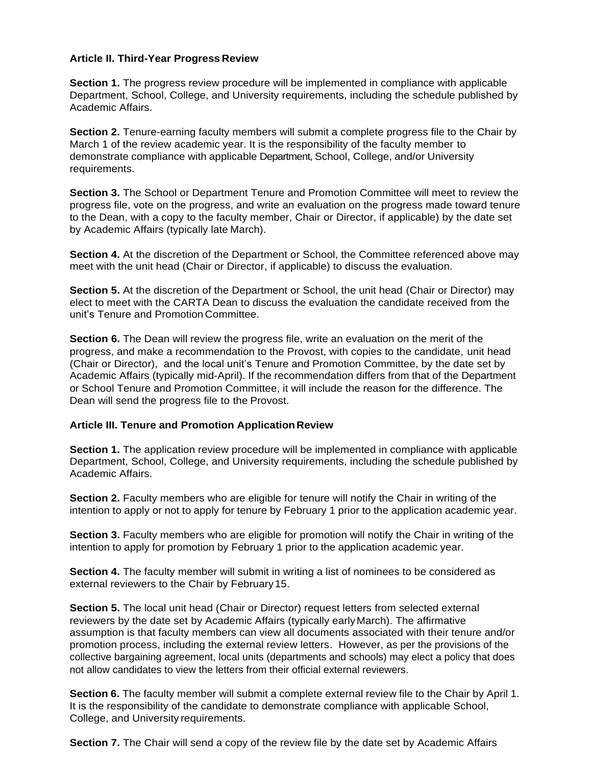## **Article II. Third-Year Progress Review**

**Section 1.** The progress review procedure will be implemented in compliance with applicable Department, School, College, and University requirements, including the schedule published by Academic Affairs.

**Section 2.** Tenure-earning faculty members will submit a complete progress file to the Chair by March 1 of the review academic year. It is the responsibility of the faculty member to demonstrate compliance with applicable Department, School, College, and/or University requirements.

**Section 3.** The School or Department Tenure and Promotion Committee will meet to review the progress file, vote on the progress, and write an evaluation on the progress made toward tenure to the Dean, with a copy to the faculty member, Chair or Director, if applicable) by the date set by Academic Affairs (typically late March).

**Section 4.** At the discretion of the Department or School, the Committee referenced above may meet with the unit head (Chair or Director, if applicable) to discuss the evaluation.

**Section 5.** At the discretion of the Department or School, the unit head (Chair or Director) may elect to meet with the CARTA Dean to discuss the evaluation the candidate received from the unit's Tenure and Promotion Committee.

**Section 6.** The Dean will review the progress file, write an evaluation on the merit of the progress, and make a recommendation to the Provost, with copies to the candidate, unit head (Chair or Director), and the local unit's Tenure and Promotion Committee, by the date set by Academic Affairs (typically mid-April). If the recommendation differs from that of the Department or School Tenure and Promotion Committee, it will include the reason for the difference. The Dean will send the progress file to the Provost.

## **Article III. Tenure and Promotion ApplicationReview**

**Section 1.** The application review procedure will be implemented in compliance with applicable Department, School, College, and University requirements, including the schedule published by Academic Affairs.

**Section 2.** Faculty members who are eligible for tenure will notify the Chair in writing of the intention to apply or not to apply for tenure by February 1 prior to the application academic year.

**Section 3.** Faculty members who are eligible for promotion will notify the Chair in writing of the intention to apply for promotion by February 1 prior to the application academic year.

**Section 4.** The faculty member will submit in writing a list of nominees to be considered as external reviewers to the Chair by February15.

**Section 5.** The local unit head (Chair or Director) request letters from selected external reviewers by the date set by Academic Affairs (typically earlyMarch). The affirmative assumption is that faculty members can view all documents associated with their tenure and/or promotion process, including the external review letters. However, as per the provisions of the collective bargaining agreement, local units (departments and schools) may elect a policy that does not allow candidates to view the letters from their official external reviewers.

**Section 6.** The faculty member will submit a complete external review file to the Chair by April 1. It is the responsibility of the candidate to demonstrate compliance with applicable School, College, and University requirements.

**Section 7.** The Chair will send a copy of the review file by the date set by Academic Affairs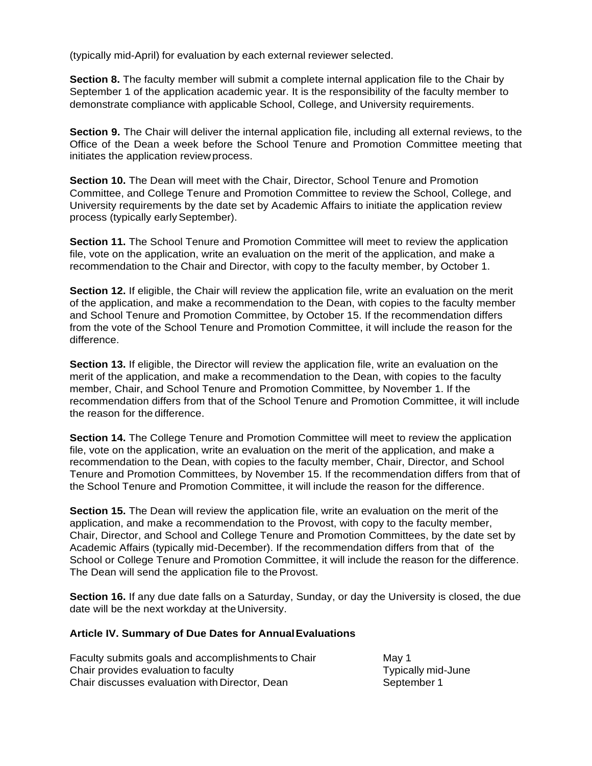(typically mid-April) for evaluation by each external reviewer selected.

**Section 8.** The faculty member will submit a complete internal application file to the Chair by September 1 of the application academic year. It is the responsibility of the faculty member to demonstrate compliance with applicable School, College, and University requirements.

**Section 9.** The Chair will deliver the internal application file, including all external reviews, to the Office of the Dean a week before the School Tenure and Promotion Committee meeting that initiates the application reviewprocess.

**Section 10.** The Dean will meet with the Chair, Director, School Tenure and Promotion Committee, and College Tenure and Promotion Committee to review the School, College, and University requirements by the date set by Academic Affairs to initiate the application review process (typically early September).

**Section 11.** The School Tenure and Promotion Committee will meet to review the application file, vote on the application, write an evaluation on the merit of the application, and make a recommendation to the Chair and Director, with copy to the faculty member, by October 1.

**Section 12.** If eligible, the Chair will review the application file, write an evaluation on the merit of the application, and make a recommendation to the Dean, with copies to the faculty member and School Tenure and Promotion Committee, by October 15. If the recommendation differs from the vote of the School Tenure and Promotion Committee, it will include the reason for the difference.

**Section 13.** If eligible, the Director will review the application file, write an evaluation on the merit of the application, and make a recommendation to the Dean, with copies to the faculty member, Chair, and School Tenure and Promotion Committee, by November 1. If the recommendation differs from that of the School Tenure and Promotion Committee, it will include the reason for the difference.

**Section 14.** The College Tenure and Promotion Committee will meet to review the application file, vote on the application, write an evaluation on the merit of the application, and make a recommendation to the Dean, with copies to the faculty member, Chair, Director, and School Tenure and Promotion Committees, by November 15. If the recommendation differs from that of the School Tenure and Promotion Committee, it will include the reason for the difference.

**Section 15.** The Dean will review the application file, write an evaluation on the merit of the application, and make a recommendation to the Provost, with copy to the faculty member, Chair, Director, and School and College Tenure and Promotion Committees, by the date set by Academic Affairs (typically mid-December). If the recommendation differs from that of the School or College Tenure and Promotion Committee, it will include the reason for the difference. The Dean will send the application file to the Provost.

**Section 16.** If any due date falls on a Saturday, Sunday, or day the University is closed, the due date will be the next workday at theUniversity.

## **Article IV. Summary of Due Dates for AnnualEvaluations**

Faculty submits goals and accomplishments to Chair May 1 Chair provides evaluation to faculty exactled the control of Typically mid-June Chair discusses evaluation with Director, Dean September 1